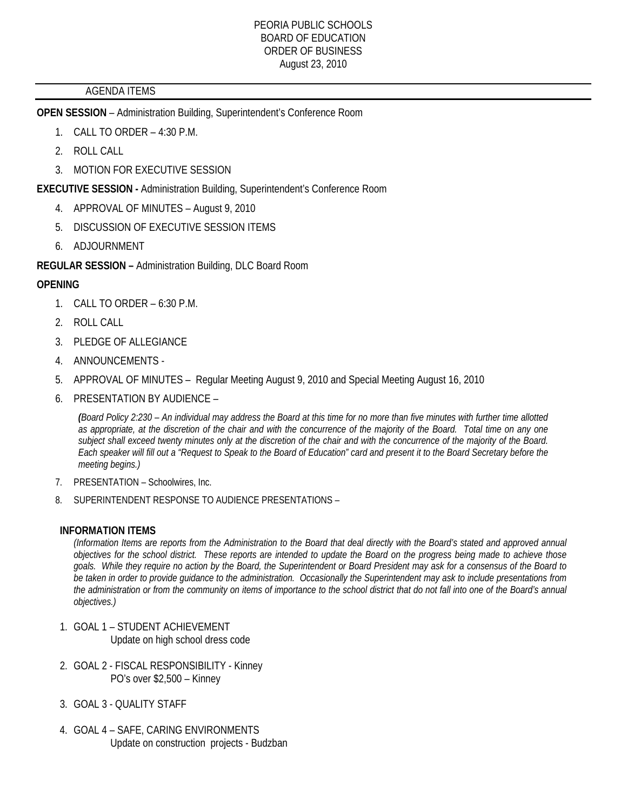### AGENDA ITEMS

**OPEN SESSION** – Administration Building, Superintendent's Conference Room

- 1. CALL TO ORDER 4:30 P.M.
- 2. ROLL CALL
- 3. MOTION FOR EXECUTIVE SESSION

**EXECUTIVE SESSION -** Administration Building, Superintendent's Conference Room

- 4. APPROVAL OF MINUTES August 9, 2010
- 5. DISCUSSION OF EXECUTIVE SESSION ITEMS
- 6. ADJOURNMENT

**REGULAR SESSION –** Administration Building, DLC Board Room

### **OPENING**

- 1. CALL TO ORDER 6:30 P.M.
- 2. ROLL CALL
- 3. PLEDGE OF ALLEGIANCE
- 4. ANNOUNCEMENTS -
- 5. APPROVAL OF MINUTES Regular Meeting August 9, 2010 and Special Meeting August 16, 2010
- 6. PRESENTATION BY AUDIENCE –

*(Board Policy 2:230 – An individual may address the Board at this time for no more than five minutes with further time allotted as appropriate, at the discretion of the chair and with the concurrence of the majority of the Board. Total time on any one subject shall exceed twenty minutes only at the discretion of the chair and with the concurrence of the majority of the Board. Each speaker will fill out a "Request to Speak to the Board of Education" card and present it to the Board Secretary before the meeting begins.)* 

- 7. PRESENTATION Schoolwires, Inc.
- 8. SUPERINTENDENT RESPONSE TO AUDIENCE PRESENTATIONS –

#### **INFORMATION ITEMS**

*(Information Items are reports from the Administration to the Board that deal directly with the Board's stated and approved annual objectives for the school district. These reports are intended to update the Board on the progress being made to achieve those goals. While they require no action by the Board, the Superintendent or Board President may ask for a consensus of the Board to be taken in order to provide guidance to the administration. Occasionally the Superintendent may ask to include presentations from the administration or from the community on items of importance to the school district that do not fall into one of the Board's annual objectives.)* 

- 1. GOAL 1 STUDENT ACHIEVEMENT Update on high school dress code
- 2. GOAL 2 FISCAL RESPONSIBILITY Kinney PO's over \$2,500 – Kinney
- 3. GOAL 3 QUALITY STAFF
- 4. GOAL 4 SAFE, CARING ENVIRONMENTS Update on construction projects - Budzban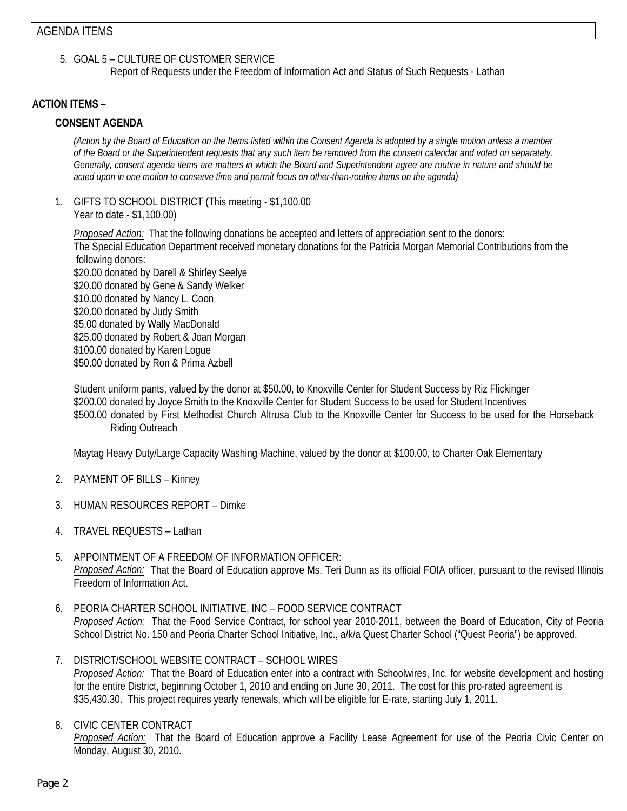5. GOAL 5 – CULTURE OF CUSTOMER SERVICE

Report of Requests under the Freedom of Information Act and Status of Such Requests - Lathan

### **ACTION ITEMS –**

#### **CONSENT AGENDA**

*(Action by the Board of Education on the Items listed within the Consent Agenda is adopted by a single motion unless a member of the Board or the Superintendent requests that any such item be removed from the consent calendar and voted on separately. Generally, consent agenda items are matters in which the Board and Superintendent agree are routine in nature and should be acted upon in one motion to conserve time and permit focus on other-than-routine items on the agenda)* 

1. GIFTS TO SCHOOL DISTRICT (This meeting - \$1,100.00 Year to date - \$1,100.00)

*Proposed Action:* That the following donations be accepted and letters of appreciation sent to the donors: The Special Education Department received monetary donations for the Patricia Morgan Memorial Contributions from the following donors: \$20.00 donated by Darell & Shirley Seelye \$20.00 donated by Gene & Sandy Welker \$10.00 donated by Nancy L. Coon \$20.00 donated by Judy Smith \$5.00 donated by Wally MacDonald \$25.00 donated by Robert & Joan Morgan \$100.00 donated by Karen Logue \$50.00 donated by Ron & Prima Azbell

Student uniform pants, valued by the donor at \$50.00, to Knoxville Center for Student Success by Riz Flickinger \$200.00 donated by Joyce Smith to the Knoxville Center for Student Success to be used for Student Incentives \$500.00 donated by First Methodist Church Altrusa Club to the Knoxville Center for Success to be used for the Horseback Riding Outreach

Maytag Heavy Duty/Large Capacity Washing Machine, valued by the donor at \$100.00, to Charter Oak Elementary

- 2. PAYMENT OF BILLS Kinney
- 3. HUMAN RESOURCES REPORT Dimke
- 4. TRAVEL REQUESTS Lathan
- 5. APPOINTMENT OF A FREEDOM OF INFORMATION OFFICER: *Proposed Action:* That the Board of Education approve Ms. Teri Dunn as its official FOIA officer, pursuant to the revised Illinois Freedom of Information Act.
- 6. PEORIA CHARTER SCHOOL INITIATIVE, INC FOOD SERVICE CONTRACT *Proposed Action:* That the Food Service Contract, for school year 2010-2011, between the Board of Education, City of Peoria School District No. 150 and Peoria Charter School Initiative, Inc., a/k/a Quest Charter School ("Quest Peoria") be approved.
- 7. DISTRICT/SCHOOL WEBSITE CONTRACT SCHOOL WIRES *Proposed Action:* That the Board of Education enter into a contract with Schoolwires, Inc. for website development and hosting for the entire District, beginning October 1, 2010 and ending on June 30, 2011. The cost for this pro-rated agreement is \$35,430.30. This project requires yearly renewals, which will be eligible for E-rate, starting July 1, 2011.
- 8. CIVIC CENTER CONTRACT

*Proposed Action:* That the Board of Education approve a Facility Lease Agreement for use of the Peoria Civic Center on Monday, August 30, 2010.